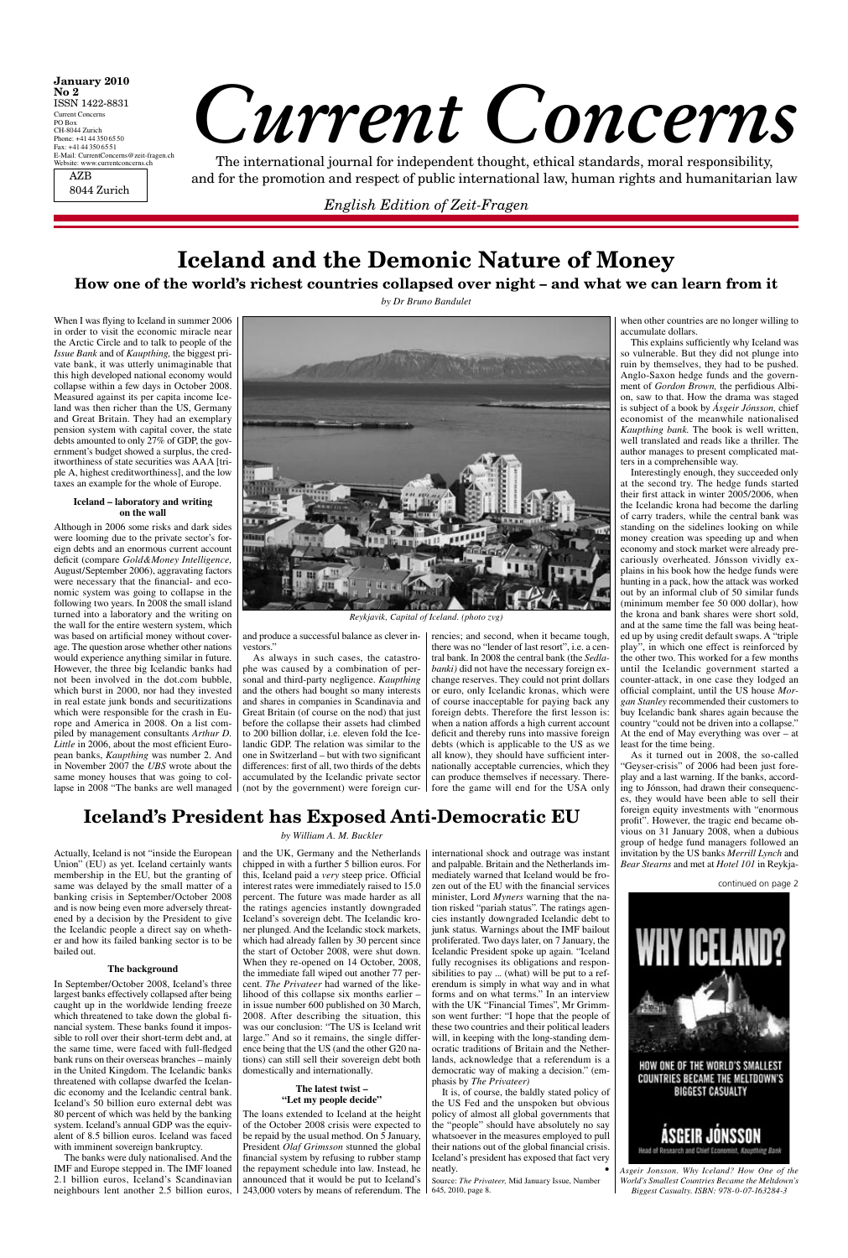# *Current Concerns*

The international journal for independent thought, ethical standards, moral responsibility, and for the promotion and respect of public international law, human rights and humanitarian law

| <b>January 2010</b><br>$\bf{No}$ 2     |
|----------------------------------------|
| ISSN 1422-8831                         |
| <b>Current Concerns</b>                |
| PO Box                                 |
| CH-8044 Zurich                         |
| Phone: $+41443506550$                  |
| Fax: $+41443506551$                    |
| E-Mail: CurrentConcerns@zeit-fragen.ch |
| Website: www.currentconcerns.ch        |
|                                        |

AZB 8044 Zurich

*English Edition of Zeit-Fragen*

When I was flying to Iceland in summer 2006 in order to visit the economic miracle near the Arctic Circle and to talk to people of the *Issue Bank* and of *Kaupthing,* the biggest private bank, it was utterly unimaginable that this high developed national economy would collapse within a few days in October 2008. Measured against its per capita income Iceland was then richer than the US, Germany and Great Britain. They had an exemplary pension system with capital cover, the state debts amounted to only 27% of GDP, the government's budget showed a surplus, the creditworthiness of state securities was AAA [triple A, highest creditworthiness], and the low taxes an example for the whole of Europe.

### **Iceland – laboratory and writing on the wall**

Although in 2006 some risks and dark sides were looming due to the private sector's foreign debts and an enormous current account deficit (compare *Gold&Money Intelligence,* August/September 2006), aggravating factors were necessary that the financial- and economic system was going to collapse in the following two years. In 2008 the small island turned into a laboratory and the writing on the wall for the entire western system, which was based on artificial money without coverage. The question arose whether other nations would experience anything similar in future. However, the three big Icelandic banks had not been involved in the dot.com bubble, which burst in 2000, nor had they invested in real estate junk bonds and securitizations which were responsible for the crash in Europe and America in 2008. On a list compiled by management consultants *Arthur D.*  Little in 2006, about the most efficient European banks, *Kaupthing* was number 2. And in November 2007 the *UBS* wrote about the same money houses that was going to collapse in 2008 "The banks are well managed (not by the government) were foreign cur-

and produce a successful balance as clever investors."

As always in such cases, the catastrophe was caused by a combination of personal and third-party negligence. *Kaupthing*  and the others had bought so many interests and shares in companies in Scandinavia and Great Britain (of course on the nod) that just before the collapse their assets had climbed to 200 billion dollar, i.e. eleven fold the Icelandic GDP. The relation was similar to the one in Switzerland – but with two significant differences: first of all, two thirds of the debts accumulated by the Icelandic private sector

Actually, Iceland is not "inside the European | and the UK, Germany and the Netherlands Union" (EU) as yet. Iceland certainly wants membership in the EU, but the granting of same was delayed by the small matter of a banking crisis in September/October 2008 and is now being even more adversely threatened by a decision by the President to give the Icelandic people a direct say on whether and how its failed banking sector is to be bailed out.

rencies; and second, when it became tough, there was no "lender of last resort", i.e. a central bank. In 2008 the central bank (the *Sedlabanki)* did not have the necessary foreign exchange reserves. They could not print dollars or euro, only Icelandic kronas, which were of course inacceptable for paying back any foreign debts. Therefore the first lesson is: when a nation affords a high current account deficit and thereby runs into massive foreign debts (which is applicable to the US as we all know), they should have sufficient internationally acceptable currencies, which they can produce themselves if necessary. Therefore the game will end for the USA only

when other countries are no longer willing to accumulate dollars.

This explains sufficiently why Iceland was so vulnerable. But they did not plunge into ruin by themselves, they had to be pushed. Anglo-Saxon hedge funds and the government of *Gordon Brown,* the perfidious Albion, saw to that. How the drama was staged is subject of a book by *Ásgeir Jónsson,* chief economist of the meanwhile nationalised *Kaupthing bank.* The book is well written, well translated and reads like a thriller. The author manages to present complicated matters in a comprehensible way.

Interestingly enough, they succeeded only at the second try. The hedge funds started their first attack in winter 2005/2006, when the Icelandic krona had become the darling of carry traders, while the central bank was standing on the sidelines looking on while money creation was speeding up and when economy and stock market were already precariously overheated. Jónsson vividly explains in his book how the hedge funds were hunting in a pack, how the attack was worked out by an informal club of 50 similar funds (minimum member fee 50 000 dollar), how the krona and bank shares were short sold, and at the same time the fall was being heated up by using credit default swaps. A "triple play", in which one effect is reinforced by the other two. This worked for a few months until the Icelandic government started a counter-attack, in one case they lodged an official complaint, until the US house *Morgan Stanley* recommended their customers to buy Icelandic bank shares again because the country "could not be driven into a collapse." At the end of May everything was over – at least for the time being.

It is, of course, the baldly stated policy of the US Fed and the unspoken but obvious policy of almost all global governments that the "people" should have absolutely no say whatsoever in the measures employed to pull their nations out of the global financial crisis. Iceland's president has exposed that fact very neatly.

As it turned out in 2008, the so-called "Geyser-crisis" of 2006 had been just foreplay and a last warning. If the banks, according to Jónsson, had drawn their consequences, they would have been able to sell their foreign equity investments with "enormous profit". However, the tragic end became obvious on 31 January 2008, when a dubious group of hedge fund managers followed an invitation by the US banks *Merrill Lynch* and *Bear Stearns* and met at *Hotel 101* in Reykja-

# **Iceland and the Demonic Nature of Money**

**How one of the world's richest countries collapsed over night – and what we can learn from it**

*by Dr Bruno Bandulet*

### **Iceland's President has Exposed Anti-Democratic EU**

*by William A. M. Buckler* 

### **The background**

In September/October 2008, Iceland's three largest banks effectively collapsed after being caught up in the worldwide lending freeze which threatened to take down the global financial system. These banks found it impossible to roll over their short-term debt and, at the same time, were faced with full-fledged bank runs on their overseas branches – mainly in the United Kingdom. The Icelandic banks threatened with collapse dwarfed the Icelandic economy and the Icelandic central bank. Iceland's 50 billion euro external debt was 80 percent of which was held by the banking system. Iceland's annual GDP was the equivalent of 8.5 billion euros. Iceland was faced with imminent sovereign bankruptcy.

chipped in with a further 5 billion euros. For this, Iceland paid a *very* steep price. Official interest rates were immediately raised to 15.0 percent. The future was made harder as all the ratings agencies instantly downgraded Iceland's sovereign debt. The Icelandic kroner plunged. And the Icelandic stock markets, which had already fallen by 30 percent since the start of October 2008, were shut down. When they re-opened on 14 October, 2008, the immediate fall wiped out another 77 percent. *The Privateer* had warned of the likelihood of this collapse six months earlier – in issue number 600 published on 30 March, 2008. After describing the situation, this was our conclusion: "The US is Iceland writ large." And so it remains, the single difference being that the US (and the other G20 nations) can still sell their sovereign debt both domestically and internationally.

The banks were duly nationalised. And the IMF and Europe stepped in. The IMF loaned 2.1 billion euros, Iceland's Scandinavian neighbours lent another 2.5 billion euros, 243,000 voters by means of referendum. The

### **The latest twist – "Let my people decide"**

The loans extended to Iceland at the height of the October 2008 crisis were expected to be repaid by the usual method. On 5 January, President *Olaf Grimsson* stunned the global financial system by refusing to rubber stamp the repayment schedule into law. Instead, he announced that it would be put to Iceland's

international shock and outrage was instant and palpable. Britain and the Netherlands immediately warned that Iceland would be frozen out of the EU with the financial services minister, Lord *Myners* warning that the nation risked "pariah status". The ratings agencies instantly downgraded Icelandic debt to junk status. Warnings about the IMF bailout proliferated. Two days later, on 7 January, the Icelandic President spoke up again. "Iceland fully recognises its obligations and responsibilities to pay ... (what) will be put to a referendum is simply in what way and in what forms and on what terms." In an interview with the UK "Financial Times", Mr Grimmson went further: "I hope that the people of these two countries and their political leaders will, in keeping with the long-standing democratic traditions of Britain and the Netherlands, acknowledge that a referendum is a democratic way of making a decision." (emphasis by *The Privateer)*

Source: *The Privateer,* Mid January Issue, Number 645, 2010, page 8.

*Asgeir Jonsson. Why Iceland? How One of the World's Smallest Countries Became the Meltdown's Biggest Casualty. ISBN: 978-0-07-163284-3*



*Reykjavik, Capital of Iceland. (photo zvg)*

continued on page 2

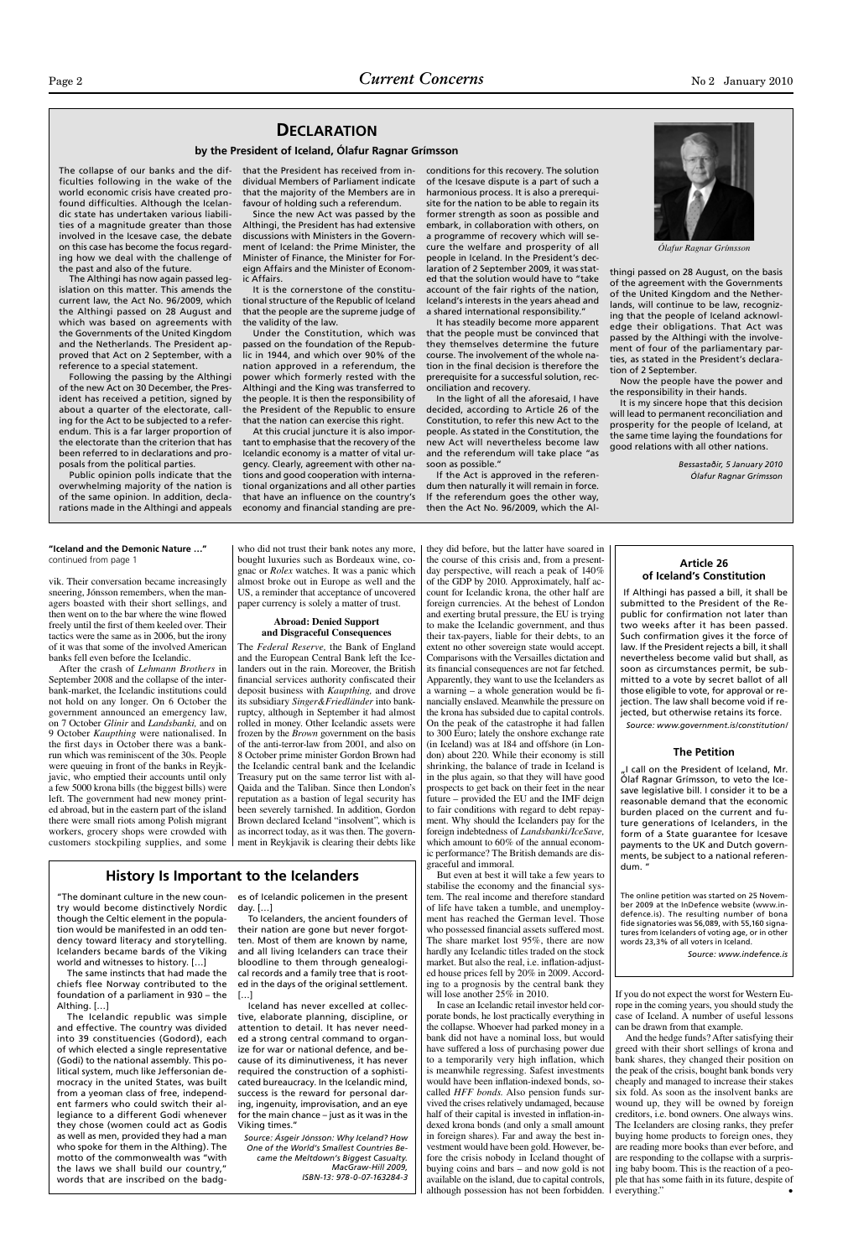vik. Their conversation became increasingly sneering, Jónsson remembers, when the managers boasted with their short sellings, and then went on to the bar where the wine flowed freely until the first of them keeled over. Their tactics were the same as in 2006, but the irony of it was that some of the involved American banks fell even before the Icelandic.

there were small riots among Polish migrant workers, grocery shops were crowded with customers stockpiling supplies, and some  $\vert$  ment in Reykjavik is clearing their debts like

After the crash of *Lehmann Brothers* in September 2008 and the collapse of the interbank-market, the Icelandic institutions could not hold on any longer. On 6 October the government announced an emergency law, on 7 October *Glinir* and *Landsbanki,* and on 9 October *Kaupthing* were nationalised. In the first days in October there was a bankrun which was reminiscent of the 30s. People were queuing in front of the banks in Reyjkjavic, who emptied their accounts until only a few 5000 krona bills (the biggest bills) were left. The government had new money printed abroad, but in the eastern part of the island

who did not trust their bank notes any more, gnac or *Rolex* watches. It was a panic which almost broke out in Europe as well and the US, a reminder that acceptance of uncovered paper currency is solely a matter of trust.

### **Abroad: Denied Support and Disgraceful Consequences**

 $\begin{array}{|c|c|c|c|c|c|}\n\hline\n\text{continued from page 1} & \text{boundary times such as Bordeaux wine, co-} & \text{the course of this crisis and, from a present-} & \text{Article 26} \\
\hline\n\end{array}$ they did before, but the latter have soared in the course of this crisis and, from a presentday perspective, will reach a peak of 140% of the GDP by 2010. Approximately, half account for Icelandic krona, the other half are foreign currencies. At the behest of London and exerting brutal pressure, the EU is trying to make the Icelandic government, and thus their tax-payers, liable for their debts, to an extent no other sovereign state would accept. Comparisons with the Versailles dictation and its financial consequences are not far fetched. Apparently, they want to use the Icelanders as a warning – a whole generation would be financially enslaved. Meanwhile the pressure on the krona has subsided due to capital controls. On the peak of the catastrophe it had fallen to 300 Euro; lately the onshore exchange rate (in Iceland) was at 184 and offshore (in London) about 220. While their economy is still shrinking, the balance of trade in Iceland is in the plus again, so that they will have good prospects to get back on their feet in the near future – provided the EU and the IMF deign to fair conditions with regard to debt repay-

The *Federal Reserve,* the Bank of England and the European Central Bank left the Icelanders out in the rain. Moreover, the British financial services authority confiscated their deposit business with *Kaupthing,* and drove its subsidiary *Singer&Friedländer* into bankruptcy, although in September it had almost rolled in money. Other Icelandic assets were frozen by the *Brown* government on the basis of the anti-terror-law from 2001, and also on 8 October prime minister Gordon Brown had the Icelandic central bank and the Icelandic Treasury put on the same terror list with al-Qaida and the Taliban. Since then London's reputation as a bastion of legal security has been severely tarnished. In addition, Gordon

Brown declared Iceland "insolvent", which is as incorrect today, as it was then. The govern-

> And the hedge funds? After satisfying their greed with their short sellings of krona and bank shares, they changed their position on the peak of the crisis, bought bank bonds very cheaply and managed to increase their stakes six fold. As soon as the insolvent banks are wound up, they will be owned by foreign creditors, i.e. bond owners. One always wins. The Icelanders are closing ranks, they prefer buying home products to foreign ones, they are reading more books than ever before, and are responding to the collapse with a surprising baby boom. This is the reaction of a people that has some faith in its future, despite of everything."

ment. Why should the Icelanders pay for the foreign indebtedness of *Landsbanki/IceSave,* which amount to 60% of the annual economic performance? The British demands are disgraceful and immoral.

But even at best it will take a few years to stabilise the economy and the financial system. The real income and therefore standard of life have taken a tumble, and unemployment has reached the German level. Those who possessed financial assets suffered most. The share market lost 95%, there are now hardly any Icelandic titles traded on the stock market. But also the real, i.e. inflation-adjusted house prices fell by 20% in 2009. According to a prognosis by the central bank they will lose another 25% in 2010.

In case an Icelandic retail investor held corporate bonds, he lost practically everything in the collapse. Whoever had parked money in a bank did not have a nominal loss, but would have suffered a loss of purchasing power due to a temporarily very high inflation, which is meanwhile regressing. Safest investments would have been inflation-indexed bonds, socalled *HFF bonds.* Also pension funds survived the crises relatively undamaged, because half of their capital is invested in inflation-indexed krona bonds (and only a small amount in foreign shares). Far and away the best investment would have been gold. However, before the crisis nobody in Iceland thought of buying coins and bars – and now gold is not available on the island, due to capital controls, although possession has not been forbidden.

If you do not expect the worst for Western Europe in the coming years, you should study the case of Iceland. A number of useful lessons can be drawn from that example.

The collapse of our banks and the difficulties following in the wake of the world economic crisis have created profound difficulties. Although the Icelandic state has undertaken various liabilities of a magnitude greater than those involved in the Icesave case, the debate on this case has become the focus regarding how we deal with the challenge of the past and also of the future.

The Althingi has now again passed legislation on this matter. This amends the current law, the Act No. 96/2009, which the Althingi passed on 28 August and which was based on agreements with the Governments of the United Kingdom and the Netherlands. The President approved that Act on 2 September, with a reference to a special statement.

> "I call on the President of Iceland, Mr. Ólaf Ragnar Grímsson, to veto the Icesave legislative bill. I consider it to be a reasonable demand that the economic burden placed on the current and future generations of Icelanders, in the form of a State guarantee for Icesave payments to the UK and Dutch governments, be subject to a national referendum. "

Following the passing by the Althingi of the new Act on 30 December, the President has received a petition, signed by about a quarter of the electorate, calling for the Act to be subjected to a referendum. This is a far larger proportion of the electorate than the criterion that has been referred to in declarations and proposals from the political parties.

Public opinion polls indicate that the overwhelming majority of the nation is of the same opinion. In addition, declarations made in the Althingi and appeals dividual Members of Parliament indicate that the majority of the Members are in favour of holding such a referendum.

Since the new Act was passed by the Althingi, the President has had extensive discussions with Ministers in the Government of Iceland: the Prime Minister, the Minister of Finance, the Minister for Foreign Affairs and the Minister of Economic Affairs.

It is the cornerstone of the constitutional structure of the Republic of Iceland that the people are the supreme judge of the validity of the law.

Under the Constitution, which was passed on the foundation of the Republic in 1944, and which over 90% of the nation approved in a referendum, the power which formerly rested with the Althingi and the King was transferred to the people. It is then the responsibility of the President of the Republic to ensure that the nation can exercise this right.

that the President has received from in-conditions for this recovery. The solution of the Icesave dispute is a part of such a harmonious process. It is also a prerequisite for the nation to be able to regain its former strength as soon as possible and embark, in collaboration with others, on a programme of recovery which will secure the welfare and prosperity of all people in Iceland. In the President's declaration of 2 September 2009, it was stated that the solution would have to "take account of the fair rights of the nation, Iceland's interests in the years ahead and a shared international responsibility."

At this crucial juncture it is also important to emphasise that the recovery of the Icelandic economy is a matter of vital urgency. Clearly, agreement with other nations and good cooperation with international organizations and all other parties that have an influence on the country's economy and financial standing are pre-

It has steadily become more apparent that the people must be convinced that they themselves determine the future course. The involvement of the whole nation in the final decision is therefore the prerequisite for a successful solution, reconciliation and recovery.

In the light of all the aforesaid, I have decided, according to Article 26 of the Constitution, to refer this new Act to the people. As stated in the Constitution, the new Act will nevertheless become law and the referendum will take place "as soon as possible."

If the Act is approved in the referendum then naturally it will remain in force. If the referendum goes the other way, then the Act No. 96/2009, which the Althingi passed on 28 August, on the basis of the agreement with the Governments of the United Kingdom and the Netherlands, will continue to be law, recognizing that the people of Iceland acknowledge their obligations. That Act was passed by the Althingi with the involvement of four of the parliamentary parties, as stated in the President's declaration of 2 September.

Now the people have the power and the responsibility in their hands.

It is my sincere hope that this decision will lead to permanent reconciliation and prosperity for the people of Iceland, at the same time laying the foundations for good relations with all other nations.

> *Bessastaðir, 5 January 2010 Ólafur Ragnar Grímsson*

### **DECLARATION**

### **by the President of Iceland, Ólafur Ragnar Grímsson**

try would become distinctively Nordic though the Celtic element in the population would be manifested in an odd tendency toward literacy and storytelling. Icelanders became bards of the Viking world and witnesses to history. […]

The same instincts that had made the chiefs flee Norway contributed to the foundation of a parliament in 930 – the Althing. […]

"The dominant culture in the new coun-es of Icelandic policemen in the present day. […]

The Icelandic republic was simple and effective. The country was divided into 39 constituencies (Godord), each of which elected a single representative (Godi) to the national assembly. This political system, much like Jeffersonian democracy in the united States, was built from a yeoman class of free, independent farmers who could switch their allegiance to a different Godi whenever they chose (women could act as Godis as well as men, provided they had a man who spoke for them in the Althing). The motto of the commonwealth was "with the laws we shall build our country," words that are inscribed on the badg-

To Icelanders, the ancient founders of their nation are gone but never forgotten. Most of them are known by name, and all living Icelanders can trace their bloodline to them through genealogical records and a family tree that is rooted in the days of the original settlement. […]

Iceland has never excelled at collective, elaborate planning, discipline, or attention to detail. It has never needed a strong central command to organize for war or national defence, and because of its diminutiveness, it has never required the construction of a sophisticated bureaucracy. In the Icelandic mind, success is the reward for personal daring, ingenuity, improvisation, and an eye for the main chance – just as it was in the Viking times."

*Source: Ásgeir Jónsson: Why Iceland? How One of the World's Smallest Countries Became the Meltdown's Biggest Casualty. MacGraw-Hill 2009, ISBN-13: 978-0-07-163284-3*

### **History Is Important to the Icelanders**



*Ólafur Ragnar Grímsson*

### **"Iceland and the Demonic Nature …"**

# **of Iceland's Constitution**

 If Althingi has passed a bill, it shall be submitted to the President of the Republic for confirmation not later than two weeks after it has been passed. Such confirmation gives it the force of law. If the President rejects a bill, it shall nevertheless become valid but shall, as soon as circumstances permit, be submitted to a vote by secret ballot of all those eligible to vote, for approval or rejection. The law shall become void if rejected, but otherwise retains its force. *Source: www.government.is/constitution/*

### **The Petition**

The online petition was started on 25 November 2009 at the InDefence website (www.indefence.is). The resulting number of bona fide signatories was 56,089, with 55,160 signatures from Icelanders of voting age, or in other words 23,3% of all voters in Iceland.

*Source: www.indefence.is*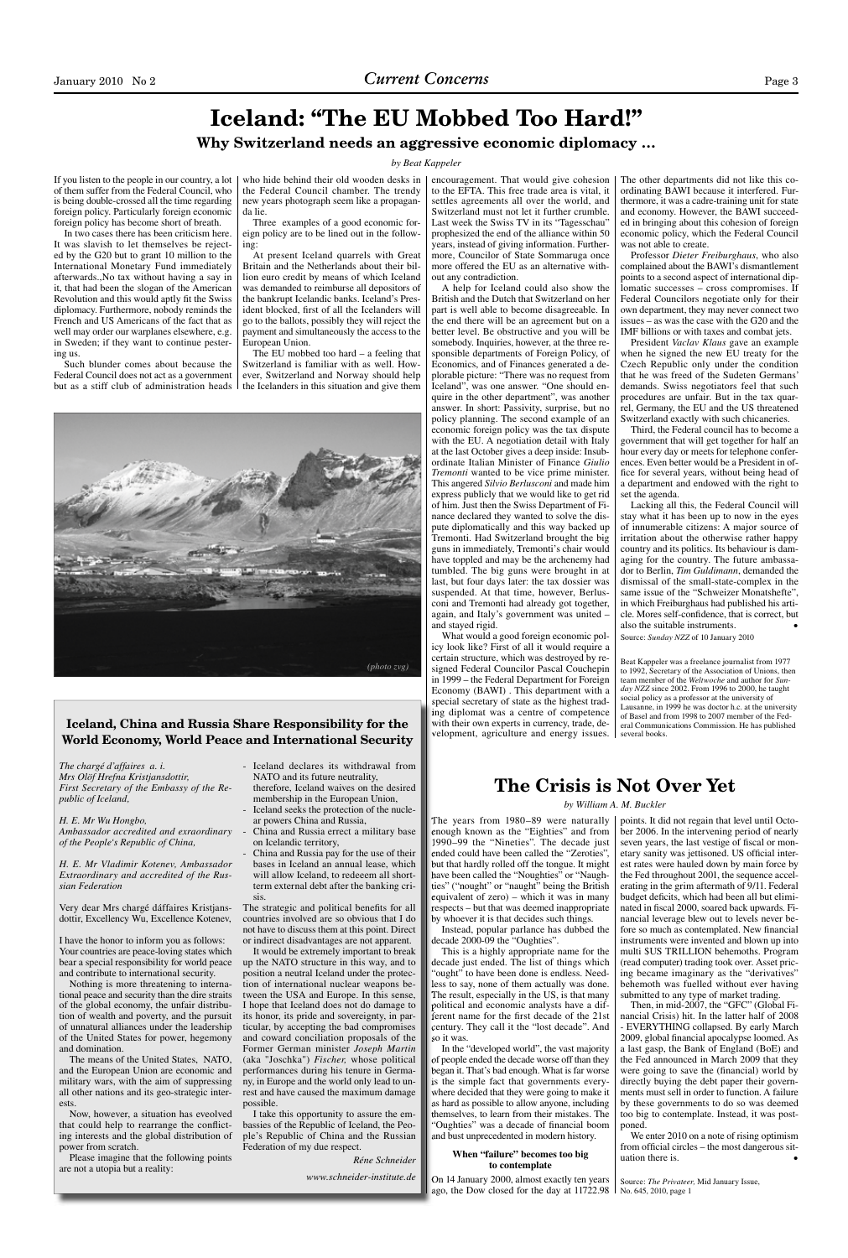### **Iceland: "The EU Mobbed Too Hard!" Why Switzerland needs an aggressive economic diplomacy …**

### *by Beat Kappeler*

If you listen to the people in our country, a lot of them suffer from the Federal Council, who is being double-crossed all the time regarding foreign policy. Particularly foreign economic foreign policy has become short of breath.

Such blunder comes about because the Federal Council does not act as a government but as a stiff club of administration heads  $\vert$  the Icelanders in this situation and give them

In two cases there has been criticism here. It was slavish to let themselves be rejected by the G20 but to grant 10 million to the International Monetary Fund immediately afterwards.,No tax without having a say in it, that had been the slogan of the American Revolution and this would aptly fit the Swiss diplomacy. Furthermore, nobody reminds the French and US Americans of the fact that as well may order our warplanes elsewhere, e.g. in Sweden; if they want to continue pestering us.

who hide behind their old wooden desks in the Federal Council chamber. The trendy new years photograph seem like a propaganda lie.

Three examples of a good economic foreign policy are to be lined out in the following:

At present Iceland quarrels with Great Britain and the Netherlands about their billion euro credit by means of which Iceland was demanded to reimburse all depositors of the bankrupt Icelandic banks. Iceland's President blocked, first of all the Icelanders will go to the ballots, possibly they will reject the payment and simultaneously the access to the European Union.

The EU mobbed too hard – a feeling that Switzerland is familiar with as well. However, Switzerland and Norway should help

encouragement. That would give cohesion to the EFTA. This free trade area is vital, it settles agreements all over the world, and Switzerland must not let it further crumble. Last week the Swiss TV in its "Tagesschau" prophesized the end of the alliance within 50 years, instead of giving information. Furthermore, Councilor of State Sommaruga once more offered the EU as an alternative without any contradiction.

A help for Iceland could also show the British and the Dutch that Switzerland on her part is well able to become disagreeable. In the end there will be an agreement but on a better level. Be obstructive and you will be somebody. Inquiries, however, at the three responsible departments of Foreign Policy, of Economics, and of Finances generated a deplorable picture: "There was no request from Iceland", was one answer. "One should enquire in the other department", was another answer. In short: Passivity, surprise, but no policy planning. The second example of an economic foreign policy was the tax dispute with the EU. A negotiation detail with Italy at the last October gives a deep inside: Insubordinate Italian Minister of Finance *Giulio Tremonti* wanted to be vice prime minister. This angered *Silvio Berlusconi* and made him express publicly that we would like to get rid of him. Just then the Swiss Department of Finance declared they wanted to solve the dispute diplomatically and this way backed up Tremonti. Had Switzerland brought the big guns in immediately, Tremonti's chair would have toppled and may be the archenemy had tumbled. The big guns were brought in at last, but four days later: the tax dossier was suspended. At that time, however, Berlusconi and Tremonti had already got together, again, and Italy's government was united – and stayed rigid.

The years from 1980–89 were naturally The years from 1980–89 were enough known as the "Eighties" and from enough known as the "Eighties" and 1990–99 the "Nineties". The decade just 1990–99 the "Nineties". The decade ended could have been called the "Zeroties", but that hardly rolled off the tongue. It might have been called the "Noughties" or "Naughties" ("nought" or "naught" being the British equivalent of zero) – which it was in many equivalent of zero) – which it was in respects – but that was deemed inappropriate by whoever it is that decides such things. ended could have been called the "X<br>but that hardly rolled off the tongue<br>have been called the "Noughties" or

Instead, popular parlance has dubbed the decade 2000-09 the "Oughties".

The other departments did not like this coordinating BAWI because it interfered. Furthermore, it was a cadre-training unit for state and economy. However, the BAWI succeeded in bringing about this cohesion of foreign economic policy, which the Federal Council was not able to create.

Professor *Dieter Freiburghaus*, who also complained about the BAWI's dismantlement points to a second aspect of international diplomatic successes – cross compromises. If Federal Councilors negotiate only for their own department, they may never connect two issues – as was the case with the G20 and the IMF billions or with taxes and combat jets.

President *Vaclav Klaus* gave an example when he signed the new EU treaty for the Czech Republic only under the condition that he was freed of the Sudeten Germans' demands. Swiss negotiators feel that such procedures are unfair. But in the tax quarrel, Germany, the EU and the US threatened Switzerland exactly with such chicaneries.

Third, the Federal council has to become a government that will get together for half an hour every day or meets for telephone conferences. Even better would be a President in office for several years, without being head of a department and endowed with the right to set the agenda.

Lacking all this, the Federal Council will stay what it has been up to now in the eyes of innumerable citizens: A major source of irritation about the otherwise rather happy country and its politics. Its behaviour is damaging for the country. The future ambassador to Berlin, *Tim Guldimann*, demanded the dismissal of the small-state-complex in the same issue of the "Schweizer Monatshefte", in which Freiburghaus had published his article. Mores self-confidence, that is correct, but also the suitable instruments. • Source: *Sunday NZZ* of 10 January 2010

Iceland declares its withdrawal from NATO and its future neutrality, therefore, Iceland waives on the desired membership in the European Union, - Iceland seeks the protection of the nucle-

Beat Kappeler was a freelance journalist from 1977 to 1992, Secretary of the Association of Unions, then team member of the *Weltwoche* and author for *Sunday NZZ* since 2002. From 1996 to 2000, he taught social policy as a professor at the university of Lausanne, in 1999 he was doctor h.c. at the university of Basel and from 1998 to 2007 member of the Federal Communications Commission. He has published several books.

China and Russia pay for the use of their bases in Iceland an annual lease, which will allow Iceland, to redeeem all shortterm external debt after the banking crisis.

The strategic and political benefits for all countries involved are so obvious that I do not have to discuss them at this point. Direct or indirect disadvantages are not apparent.

What would a good foreign economic policy look like? First of all it would require a certain structure, which was destroyed by resigned Federal Councilor Pascal Couchepin in 1999 – the Federal Department for Foreign Economy (BAWI) . This department with a special secretary of state as the highest trading diplomat was a centre of competence ing diplomat was a centre of with their own experts in currency, trade, development, agriculture and energy issues. velopment, agriculture and energy

The chargé digitative a.i.  $\mathbf{R}$  is not determined in the same of the theoretic properties a. i. The means of the Chargé digitative a. i. The means of the Chargé digitative a. i. Although,  $\mathbf{R}$  is not also the dete It would be extremely important to break up the NATO structure in this way, and to position a neutral Iceland under the protection of international nuclear weapons between the USA and Europe. In this sense, I hope that Iceland does not do damage to its honor, its pride and sovereignty, in particular, by accepting the bad compromises and coward conciliation proposals of the Former German minister *Joseph Martin*  (aka "Joschka") *Fischer,* whose political performances during his tenure in Germany, in Europe and the world only lead to unrest and have caused the maximum damage possible.

This is a highly appropriate name for the decade just ended. The list of things which decade just ended. The list of things "ought" to have been done is endless. Needless to say, none of them actually was done. less to say, none of them actually was The result, especially in the US, is that many political and economic analysts have a dif-political and economic analysts have a ferent name for the first decade of the 21st century. They call it the "lost decade". And century. They call it the "lost decade". so it was.

### **When "failure" becomes too big to contemplate**

On 14 January 2000, almost exactly ten years On 14 January 2000, almost exactly ten ago, the Dow closed for the day at 11722.98

points. It did not regain that level until October 2006. In the intervening period of nearly seven years, the last vestige of fiscal or monetary sanity was jettisoned. US official interest rates were hauled down by main force by the Fed throughout 2001, the sequence accelerating in the grim aftermath of 9/11. Federal budget deficits, which had been all but eliminated in fiscal 2000, soared back upwards. Financial leverage blew out to levels never before so much as contemplated. New financial instruments were invented and blown up into multi \$US TRILLION behemoths. Program (read computer) trading took over. Asset pricing became imaginary as the "derivatives" behemoth was fuelled without ever having submitted to any type of market trading.

Then, in mid-2007, the "GFC" (Global Financial Crisis) hit. In the latter half of 2008 - EVERYTHING collapsed. By early March 2009, global financial apocalypse loomed. As a last gasp, the Bank of England (BoE) and the Fed announced in March 2009 that they were going to save the (financial) world by directly buying the debt paper their governments must sell in order to function. A failure by these governments to do so was deemed too big to contemplate. Instead, it was postponed.

We enter 2010 on a note of rising optimism from official circles – the most dangerous situation there is.

In the "developed world", the vast majority of people ended the decade worse off than they of people ended the decade worse off than they began it. That's bad enough. What is far worse began it. That's bad enough. What is far worse is the simple fact that governments everywhere decided that they were going to make it where decided that they were going to make it as hard as possible to allow anyone, including as hard as possible to allow anyone, including themselves, to learn from their mistakes. The themselves, to learn from their mistakes. The "Oughties" was a decade of financial boom and bust unprecedented in modern history. and bust unprecedented in modern history.

> Source: *The Privateer,* Mid January Issue, No. 645, 2010, page 1

**The Crisis is Not Over Yet**

*by William A. M. Buckler* 

*Mrs Olöf Hrefna Kristjansdottir, First Secretary of the Embassy of the Republic of Iceland,* 

*H. E. Mr Wu Hongbo, Ambassador accredited and exraordinary of the People's Republic of China,* 

*H. E. Mr Vladimir Kotenev, Ambassador Extraordinary and accredited of the Russian Federation* 

Very dear Mrs chargé dáffaires Kristjansdottir, Excellency Wu, Excellence Kotenev,

I have the honor to inform you as follows: Your countries are peace-loving states which bear a special responsibility for world peace and contribute to international security.

Nothing is more threatening to international peace and security than the dire straits of the global economy, the unfair distribution of wealth and poverty, and the pursuit of unnatural alliances under the leadership of the United States for power, hegemony and domination.

The means of the United States, NATO, and the European Union are economic and military wars, with the aim of suppressing all other nations and its geo-strategic interests.

Now, however, a situation has eveolved that could help to rearrange the conflicting interests and the global distribution of power from scratch.

Please imagine that the following points are not a utopia but a reality:

ar powers China and Russia,

- China and Russia errect a military base on Icelandic territory,

I take this opportunity to assure the embassies of the Republic of Iceland, the People's Republic of China and the Russian Federation of my due respect.

*Réne Schneider*

*www.schneider-institute.de*

### **Iceland, China and Russia Share Responsibility for the World Economy, World Peace and International Security**

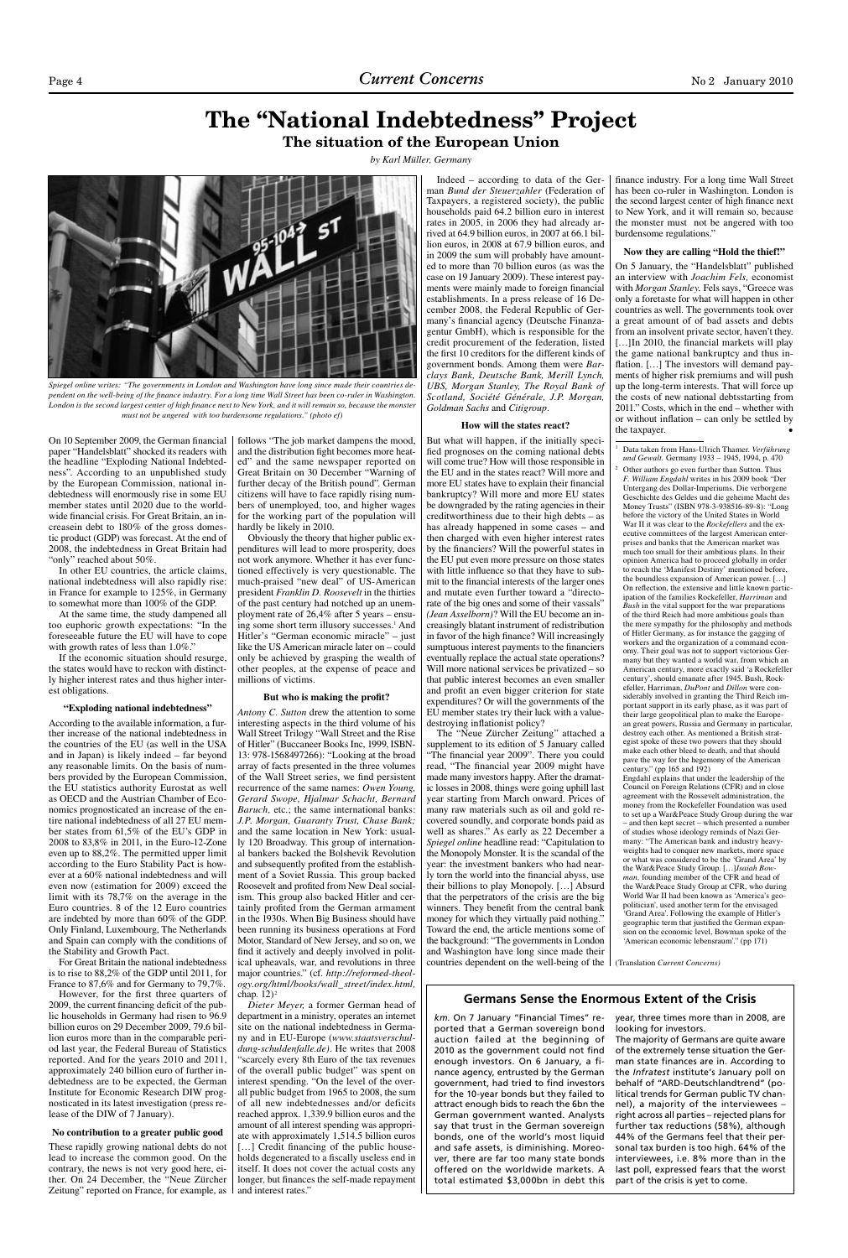# **The "National Indebtedness" Project**

On 10 September 2009, the German financial paper "Handelsblatt" shocked its readers with the headline "Exploding National Indebtedness". According to an unpublished study by the European Commission, national indebtedness will enormously rise in some EU member states until 2020 due to the worldwide financial crisis. For Great Britain, an increasein debt to 180% of the gross domestic product (GDP) was forecast. At the end of 2008, the indebtedness in Great Britain had "only" reached about 50%.

**The situation of the European Union**

*by Karl Müller, Germany*

At the same time, the study dampened all too euphoric growth expectations: "In the foreseeable future the EU will have to cope with growth rates of less than 1.0%."

In other EU countries, the article claims, national indebtedness will also rapidly rise: in France for example to 125%, in Germany to somewhat more than 100% of the GDP.

If the economic situation should resurge, the states would have to reckon with distinctly higher interest rates and thus higher interest obligations.

#### **"Exploding national indebtedness"**

According to the available information, a further increase of the national indebtedness in the countries of the EU (as well in the USA and in Japan) is likely indeed – far beyond any reasonable limits. On the basis of numbers provided by the European Commission, the EU statistics authority Eurostat as well as OECD and the Austrian Chamber of Economics prognosticated an increase of the entire national indebtedness of all 27 EU member states from 61,5% of the EU's GDP in 2008 to 83,8% in 2011, in the Euro-12-Zone even up to 88,2%. The permitted upper limit according to the Euro Stability Pact is however at a 60% national indebtedness and will even now (estimation for 2009) exceed the limit with its 78,7% on the average in the Euro countries. 8 of the 12 Euro countries are indebted by more than 60% of the GDP. Only Finland, Luxembourg, The Netherlands and Spain can comply with the conditions of the Stability and Growth Pact. For Great Britain the national indebtedness is to rise to 88,2% of the GDP until 2011, for France to 87,6% and for Germany to 79,7%. However, for the first three quarters of 2009, the current financing deficit of the public households in Germany had risen to 96.9 billion euros on 29 December 2009, 79.6 billion euros more than in the comparable period last year, the Federal Bureau of Statistics reported. And for the years 2010 and 2011, approximately 240 billion euro of further indebtedness are to be expected, the German Institute for Economic Research DIW prognosticated in its latest investigation (press release of the DIW of 7 January).

### **No contribution to a greater public good**

These rapidly growing national debts do not lead to increase the common good. On the contrary, the news is not very good here, either. On 24 December, the "Neue Zürcher Zeitung" reported on France, for example, as follows "The job market dampens the mood, and the distribution fight becomes more heated" and the same newspaper reported on Great Britain on 30 December "Warning of further decay of the British pound". German citizens will have to face rapidly rising numbers of unemployed, too, and higher wages for the working part of the population will hardly be likely in 2010.

Obviously the theory that higher public expenditures will lead to more prosperity, does not work anymore. Whether it has ever functioned effectively is very questionable. The much-praised "new deal" of US-American president *Franklin D. Roosevelt* in the thirties of the past century had notched up an unemployment rate of 26,4% after 5 years – ensuing some short term illusory successes.<sup>1</sup> And Hitler's "German economic miracle" – just like the US American miracle later on – could only be achieved by grasping the wealth of other peoples, at the expense of peace and millions of victims.

#### **But who is making the profit?**

*Antony C. Sutton* drew the attention to some interesting aspects in the third volume of his Wall Street Trilogy "Wall Street and the Rise of Hitler" (Buccaneer Books Inc, 1999, ISBN-13: 978-1568497266): "Looking at the broad array of facts presented in the three volumes of the Wall Street series, we find persistent recurrence of the same names: *Owen Young, Gerard Swope, Hjalmar Schacht, Bernard Baruch,* etc.; the same international banks: *J.P. Morgan, Guaranty Trust, Chase Bank;* and the same location in New York: usually 120 Broadway. This group of international bankers backed the Bolshevik Revolution and subsequently profited from the establishment of a Soviet Russia. This group backed Roosevelt and profited from New Deal socialism. This group also backed Hitler and certainly profited from the German armament in the 1930s. When Big Business should have been running its business operations at Ford Motor, Standard of New Jersey, and so on, we find it actively and deeply involved in political upheavals, war, and revolutions in three major countries." (cf. *http://reformed-theology.org/html/books/wall\_street/index.html,* chap.  $12$ <sup>2</sup> *Dieter Meyer,* a former German head of department in a ministry, operates an internet site on the national indebtedness in Germany and in EU-Europe (*www.staatsverschuldung-schuldenfalle.de)*. He writes that 2008 "scarcely every 8th Euro of the tax revenues of the overall public budget" was spent on interest spending. "On the level of the overall public budget from 1965 to 2008, the sum of all new indebtednesses and/or deficits reached approx. 1,339.9 billion euros and the amount of all interest spending was appropriate with approximately 1,514.5 billion euros [...] Credit financing of the public households degenerated to a fiscally useless end in itself. It does not cover the actual costs any longer, but finances the self-made repayment and interest rates."

the taxpayer. Data taken from Hans-Ulrich Thamer. *Verführung und Gewalt.* Germany 1933 – 1945, 1994, p. 470 Other authors go even further than Sutton. Thus *F. William Engdahl* writes in his 2009 book "Der Untergang des Dollar-Imperiums. Die verborgene Geschichte des Geldes und die geheime Macht des Money Trusts" (ISBN 978-3-938516-89-8): "Long before the victory of the United States in World War II it was clear to the *Rockefellers* and the executive committees of the largest American enterprises and banks that the American market was much too small for their ambitious plans. In their opinion America had to proceed globally in order to reach the 'Manifest Destiny' mentioned before, the boundless expansion of American power. […] On reflection, the extensive and little known participation of the families Rockefeller, *Harriman* and *Bush* in the vital support for the war preparations of the third Reich had more ambitious goals than the mere sympathy for the philosophy and methods of Hitler Germany, as for instance the gagging of workers and the organization of a command economy. Their goal was not to support victorious Germany but they wanted a world war, from which an American century, more exactly said 'a Rockefeller century', should emanate after 1945. Bush, Rockefeller, Harriman, *DuPont* and *Dillon* were considerably involved in granting the Third Reich important support in its early phase, as it was part of their large geopolitical plan to make the European great powers, Russia and Germany in particular, destroy each other. As mentioned a British strategist spoke of these two powers that they should make each other bleed to death, and that should pave the way for the hegemony of the American century." (pp 165 and 192) Engdahl explains that under the leadership of the Council on Foreign Relations (CFR) and in close agreement with the Rossevelt administration, the money from the Rockefeller Foundation was used to set up a War&Peace Study Group during the wa – and then kept secret – which presented a number of studies whose ideology reminds of Nazi Germany: "The American bank and industry heavyweights had to conquer new markets, more space or what was considered to be the 'Grand Area' by the War&Peace Study Group. […]*Isaiah Bowman,* founding member of the CFR and head of the War&Peace Study Group at CFR, who during World War II had been known as 'America's geopolitician', used another term for the envisaged 'Grand Area'. Following the example of Hitler's geographic term that justified the German expansion on the economic level, Bowman spoke of the 'American economic lebensraum'." (pp 171)

Indeed – according to data of the German *Bund der Steuerzahler* (Federation of Taxpayers, a registered society), the public households paid 64.2 billion euro in interest rates in 2005, in 2006 they had already arrived at 64.9 billion euros, in 2007 at 66.1 billion euros, in 2008 at 67.9 billion euros, and in 2009 the sum will probably have amounted to more than 70 billion euros (as was the case on 19 January 2009). These interest payments were mainly made to foreign financial establishments. In a press release of 16 December 2008, the Federal Republic of Germany's financial agency (Deutsche Finanzagentur GmbH), which is responsible for the credit procurement of the federation, listed the first 10 creditors for the different kinds of government bonds. Among them were *Barclays Bank, Deutsche Bank, Merill Lynch, UBS, Morgan Stanley, The Royal Bank of Scotland, Société Générale, J.P. Morgan, Goldman Sachs* and *Citigroup*.

### **How will the states react?**

But what will happen, if the initially specified prognoses on the coming national debts will come true? How will those responsible in the EU and in the states react? Will more and more EU states have to explain their financial bankruptcy? Will more and more EU states be downgraded by the rating agencies in their creditworthiness due to their high debts – as has already happened in some cases – and then charged with even higher interest rates by the financiers? Will the powerful states in the EU put even more pressure on those states with little influence so that they have to submit to the financial interests of the larger ones and mutate even further toward a "directorate of the big ones and some of their vassals" *(Jean Asselborn)*? Will the EU become an increasingly blatant instrument of redistribution in favor of the high finance? Will increasingly sumptuous interest payments to the financiers eventually replace the actual state operations? Will more national services be privatized – so that public interest becomes an even smaller and profit an even bigger criterion for state expenditures? Or will the governments of the EU member states try their luck with a valuedestroying inflationist policy?

The "Neue Zürcher Zeitung" attached a supplement to its edition of 5 January called "The financial year 2009". There you could read, "The financial year 2009 might have made many investors happy. After the dramatic losses in 2008, things were going uphill last year starting from March onward. Prices of many raw materials such as oil and gold recovered soundly, and corporate bonds paid as well as shares." As early as 22 December a *Spiegel online* headline read: "Capitulation to the Monopoly Monster. It is the scandal of the year: the investment bankers who had nearly torn the world into the financial abyss, use their billions to play Monopoly. […] Absurd that the perpetrators of the crisis are the big winners. They benefit from the central bank money for which they virtually paid nothing." Toward the end, the article mentions some of the background: "The governments in London and Washington have long since made their countries dependent on the well-being of the

finance industry. For a long time Wall Street has been co-ruler in Washington. London is the second largest center of high finance next to New York, and it will remain so, because the monster must not be angered with too burdensome regulations."

### **Now they are calling "Hold the thief!"**

On 5 January, the "Handelsblatt" published an interview with *Joachim Fels,* economist with *Morgan Stanley.* Fels says, "Greece was only a foretaste for what will happen in other countries as well. The governments took over a great amount of of bad assets and debts from an insolvent private sector, haven't they. [...]In 2010, the financial markets will play the game national bankruptcy and thus inflation. [...] The investors will demand payments of higher risk premiums and will push up the long-term interests. That will force up the costs of new national debtsstarting from 2011." Costs, which in the end – whether with or without inflation – can only be settled by

1

2

(Translation *Current Concerns)*



*Spiegel online writes: "The governments in London and Washington have long since made their countries dependent on the well-being of the finance industry. For a long time Wall Street has been co-ruler in Washington. London is the second largest center of high finance next to New York, and it will remain so, because the monster must not be angered with too burdensome regulations." (photo ef)*

*km.* On 7 January "Financial Times" reported that a German sovereign bond auction failed at the beginning of 2010 as the government could not find enough investors. On 6 January, a finance agency, entrusted by the German government, had tried to find investors for the 10-year bonds but they failed to attract enough bids to reach the 6bn the German government wanted. Analysts say that trust in the German sovereign bonds, one of the world's most liquid and safe assets, is diminishing. Moreover, there are far too many state bonds offered on the worldwide markets. A total estimated \$3,000bn in debt this

year, three times more than in 2008, are looking for investors.

The majority of Germans are quite aware of the extremely tense situation the German state finances are in. According to the *Infratest* institute's January poll on behalf of "ARD-Deutschlandtrend" (political trends for German public TV channel), a majority of the interviewees – right across all parties – rejected plans for further tax reductions (58%), although 44% of the Germans feel that their personal tax burden is too high. 64% of the interviewees, i.e. 8% more than in the last poll, expressed fears that the worst part of the crisis is yet to come.

### **Germans Sense the Enormous Extent of the Crisis**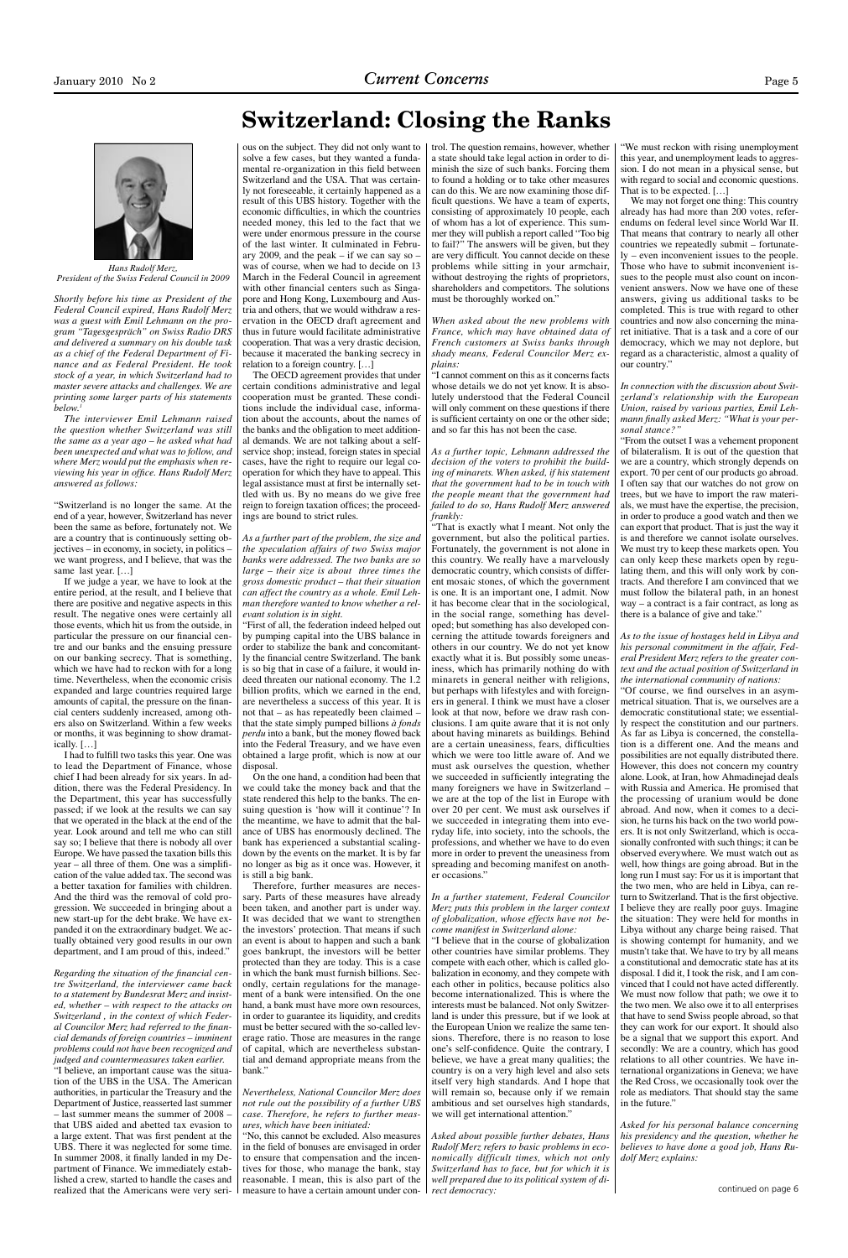

# **Switzerland: Closing the Ranks**

*Shortly before his time as President of the Federal Council expired, Hans Rudolf Merz was a guest with Emil Lehmann on the program "Tagesgespräch" on Swiss Radio DRS and delivered a summary on his double task as a chief of the Federal Department of Finance and as Federal President. He took stock of a year, in which Switzerland had to master severe attacks and challenges. We are printing some larger parts of his statements below.1*

*The interviewer Emil Lehmann raised the question whether Switzerland was still the same as a year ago – he asked what had been unexpected and what was to follow, and where Merz would put the emphasis when reviewing his year in office. Hans Rudolf Merz answered as follows:* 

"Switzerland is no longer the same. At the end of a year, however, Switzerland has never been the same as before, fortunately not. We are a country that is continuously setting objectives – in economy, in society, in politics – we want progress, and I believe, that was the same last year. […]

If we judge a year, we have to look at the entire period, at the result, and I believe that there are positive and negative aspects in this result. The negative ones were certainly all those events, which hit us from the outside, in particular the pressure on our financial centre and our banks and the ensuing pressure on our banking secrecy. That is something, which we have had to reckon with for a long time. Nevertheless, when the economic crisis expanded and large countries required large amounts of capital, the pressure on the financial centers suddenly increased, among others also on Switzerland. Within a few weeks or months, it was beginning to show dramatically. […]

I had to fulfill two tasks this year. One was to lead the Department of Finance, whose chief I had been already for six years. In addition, there was the Federal Presidency. In the Department, this year has successfully passed; if we look at the results we can say that we operated in the black at the end of the year. Look around and tell me who can still say so; I believe that there is nobody all over Europe. We have passed the taxation bills this year – all three of them. One was a simplification of the value added tax. The second was a better taxation for families with children. And the third was the removal of cold progression. We succeeded in bringing about a new start-up for the debt brake. We have expanded it on the extraordinary budget. We actually obtained very good results in our own department, and I am proud of this, indeed."

*Regarding the situation of the financial centre Switzerland, the interviewer came back to a statement by Bundesrat Merz and insisted, whether – with respect to the attacks on Switzerland , in the context of which Federal Councilor Merz had referred to the financial demands of foreign countries – imminent problems could not have been recognized and judged and countermeasures taken earlier.* "I believe, an important cause was the situation of the UBS in the USA. The American authorities, in particular the Treasury and the Department of Justice, reasserted last summer – last summer means the summer of 2008 – that UBS aided and abetted tax evasion to a large extent. That was first pendent at the UBS. There it was neglected for some time. In summer 2008, it finally landed in my Department of Finance. We immediately established a crew, started to handle the cases and realized that the Americans were very seri-

ous on the subject. They did not only want to solve a few cases, but they wanted a fundamental re-organization in this field between Switzerland and the USA. That was certainly not foreseeable, it certainly happened as a result of this UBS history. Together with the economic difficulties, in which the countries needed money, this led to the fact that we were under enormous pressure in the course of the last winter. It culminated in February 2009, and the peak – if we can say so – was of course, when we had to decide on 13 March in the Federal Council in agreement with other financial centers such as Singapore and Hong Kong, Luxembourg and Austria and others, that we would withdraw a reservation in the OECD draft agreement and thus in future would facilitate administrative cooperation. That was a very drastic decision, because it macerated the banking secrecy in relation to a foreign country. […]

The OECD agreement provides that under certain conditions administrative and legal cooperation must be granted. These conditions include the individual case, information about the accounts, about the names of the banks and the obligation to meet additional demands. We are not talking about a selfservice shop; instead, foreign states in special cases, have the right to require our legal cooperation for which they have to appeal. This legal assistance must at first be internally settled with us. By no means do we give free reign to foreign taxation offices; the proceedings are bound to strict rules.

*As a further part of the problem, the size and the speculation affairs of two Swiss major banks were addressed. The two banks are so large – their size is about three times the gross domestic product – that their situation can affect the country as a whole. Emil Lehman therefore wanted to know whether a relevant solution is in sight.*

"First of all, the federation indeed helped out by pumping capital into the UBS balance in order to stabilize the bank and concomitantly the financial centre Switzerland. The bank is so big that in case of a failure, it would indeed threaten our national economy. The 1.2 billion profits, which we earned in the end, are nevertheless a success of this year. It is not that – as has repeatedly been claimed – that the state simply pumped billions *à fonds perdu* into a bank, but the money flowed back into the Federal Treasury, and we have even obtained a large profit, which is now at our disposal.

On the one hand, a condition had been that we could take the money back and that the state rendered this help to the banks. The ensuing question is 'how will it continue'? In the meantime, we have to admit that the balance of UBS has enormously declined. The bank has experienced a substantial scalingdown by the events on the market. It is by far no longer as big as it once was. However, it is still a big bank. Therefore, further measures are necessary. Parts of these measures have already been taken, and another part is under way. It was decided that we want to strengthen the investors' protection. That means if such an event is about to happen and such a bank goes bankrupt, the investors will be better protected than they are today. This is a case in which the bank must furnish billions. Secondly, certain regulations for the management of a bank were intensified. On the one hand, a bank must have more own resources, in order to guarantee its liquidity, and credits must be better secured with the so-called leverage ratio. Those are measures in the range of capital, which are nevertheless substantial and demand appropriate means from the bank."

*Nevertheless, National Councilor Merz does not rule out the possibility of a further UBS case. Therefore, he refers to further measures, which have been initiated:*

"No, this cannot be excluded. Also measures in the field of bonuses are envisaged in order to ensure that compensation and the incentives for those, who manage the bank, stay reasonable. I mean, this is also part of the measure to have a certain amount under control. The question remains, however, whether a state should take legal action in order to diminish the size of such banks. Forcing them to found a holding or to take other measures can do this. We are now examining those difficult questions. We have a team of experts, consisting of approximately 10 people, each of whom has a lot of experience. This summer they will publish a report called "Too big to fail?" The answers will be given, but they are very difficult. You cannot decide on these problems while sitting in your armchair, without destroying the rights of proprietors, shareholders and competitors. The solutions must be thoroughly worked on."

*When asked about the new problems with France, which may have obtained data of French customers at Swiss banks through shady means, Federal Councilor Merz explains:*

"I cannot comment on this as it concerns facts whose details we do not yet know. It is absolutely understood that the Federal Council will only comment on these questions if there is sufficient certainty on one or the other side; and so far this has not been the case.

*As a further topic, Lehmann addressed the decision of the voters to prohibit the building of minarets. When asked, if his statement that the government had to be in touch with the people meant that the government had failed to do so, Hans Rudolf Merz answered frankly:*

"That is exactly what I meant. Not only the government, but also the political parties. Fortunately, the government is not alone in this country. We really have a marvelously democratic country, which consists of different mosaic stones, of which the government is one. It is an important one, I admit. Now it has become clear that in the sociological, in the social range, something has developed; but something has also developed concerning the attitude towards foreigners and others in our country. We do not yet know exactly what it is. But possibly some uneasiness, which has primarily nothing do with minarets in general neither with religions, but perhaps with lifestyles and with foreigners in general. I think we must have a closer look at that now, before we draw rash conclusions. I am quite aware that it is not only about having minarets as buildings. Behind are a certain uneasiness, fears, difficulties which we were too little aware of. And we must ask ourselves the question, whether we succeeded in sufficiently integrating the many foreigners we have in Switzerland – we are at the top of the list in Europe with over 20 per cent. We must ask ourselves if

we succeeded in integrating them into everyday life, into society, into the schools, the professions, and whether we have to do even more in order to prevent the uneasiness from spreading and becoming manifest on another occasions."

*In a further statement, Federal Councilor Merz puts this problem in the larger context of globalization, whose effects have not become manifest in Switzerland alone:*

"I believe that in the course of globalization other countries have similar problems. They compete with each other, which is called globalization in economy, and they compete with each other in politics, because politics also become internationalized. This is where the interests must be balanced. Not only Switzerland is under this pressure, but if we look at the European Union we realize the same tensions. Therefore, there is no reason to lose one's self-confidence. Quite the contrary, I believe, we have a great many qualities; the country is on a very high level and also sets itself very high standards. And I hope that will remain so, because only if we remain ambitious and set ourselves high standards, we will get international attention."

*Asked about possible further debates, Hans Rudolf Merz refers to basic problems in economically difficult times, which not only Switzerland has to face, but for which it is well prepared due to its political system of direct democracy:*

"We must reckon with rising unemployment this year, and unemployment leads to aggression. I do not mean in a physical sense, but with regard to social and economic questions. That is to be expected. […]

We may not forget one thing: This country already has had more than 200 votes, referendums on federal level since World War II. That means that contrary to nearly all other countries we repeatedly submit – fortunately – even inconvenient issues to the people. Those who have to submit inconvenient issues to the people must also count on inconvenient answers. Now we have one of these answers, giving us additional tasks to be completed. This is true with regard to other countries and now also concerning the minaret initiative. That is a task and a core of our democracy, which we may not deplore, but regard as a characteristic, almost a quality of our country."

*In connection with the discussion about Switzerland's relationship with the European Union, raised by various parties, Emil Lehmann finally asked Merz: "What is your personal stance?"*

"From the outset I was a vehement proponent of bilateralism. It is out of the question that we are a country, which strongly depends on export. 70 per cent of our products go abroad. I often say that our watches do not grow on trees, but we have to import the raw materials, we must have the expertise, the precision, in order to produce a good watch and then we can export that product. That is just the way it is and therefore we cannot isolate ourselves. We must try to keep these markets open. You can only keep these markets open by regulating them, and this will only work by contracts. And therefore I am convinced that we must follow the bilateral path, in an honest way – a contract is a fair contract, as long as there is a balance of give and take."

*As to the issue of hostages held in Libya and his personal commitment in the affair, Federal President Merz refers to the greater context and the actual position of Switzerland in the international community of nations:*

"Of course, we find ourselves in an asymmetrical situation. That is, we ourselves are a democratic constitutional state; we essentially respect the constitution and our partners. As far as Libya is concerned, the constellation is a different one. And the means and possibilities are not equally distributed there. However, this does not concern my country alone. Look, at Iran, how Ahmadinejad deals with Russia and America. He promised that the processing of uranium would be done abroad. And now, when it comes to a decision, he turns his back on the two world powers. It is not only Switzerland, which is occasionally confronted with such things; it can be observed everywhere. We must watch out as well, how things are going abroad. But in the long run I must say: For us it is important that the two men, who are held in Libya, can return to Switzerland. That is the first objective. I believe they are really poor guys. Imagine the situation: They were held for months in Libya without any charge being raised. That is showing contempt for humanity, and we mustn't take that. We have to try by all means a constitutional and democratic state has at its disposal. I did it, I took the risk, and I am convinced that I could not have acted differently. We must now follow that path; we owe it to the two men. We also owe it to all enterprises that have to send Swiss people abroad, so that they can work for our export. It should also be a signal that we support this export. And secondly: We are a country, which has good relations to all other countries. We have international organizations in Geneva; we have the Red Cross, we occasionally took over the role as mediators. That should stay the same in the future."

*Asked for his personal balance concerning his presidency and the question, whether he believes to have done a good job, Hans Rudolf Merz explains:*



*Hans Rudolf Merz, President of the Swiss Federal Council in 2009* 

continued on page 6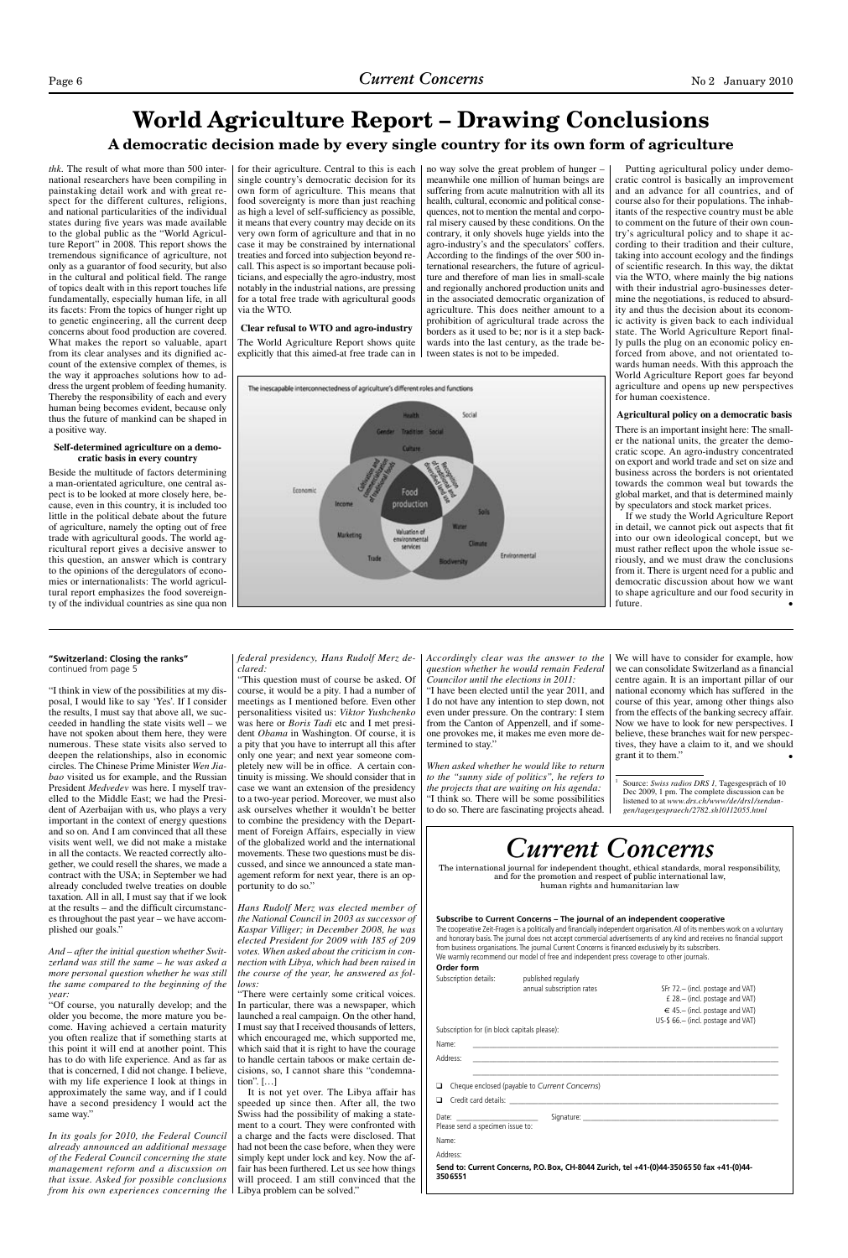"I think in view of the possibilities at my disposal, I would like to say 'Yes'. If I consider the results, I must say that above all, we succeeded in handling the state visits well – we have not spoken about them here, they were numerous. These state visits also served to deepen the relationships, also in economic circles. The Chinese Prime Minister *Wen Jiabao* visited us for example, and the Russian President *Medvedev* was here. I myself travelled to the Middle East; we had the President of Azerbaijan with us, who plays a very important in the context of energy questions and so on. And I am convinced that all these visits went well, we did not make a mistake in all the contacts. We reacted correctly altogether, we could resell the shares, we made a contract with the USA; in September we had already concluded twelve treaties on double taxation. All in all, I must say that if we look at the results – and the difficult circumstances throughout the past year – we have accomplished our goals."

*And – after the initial question whether Switzerland was still the same – he was asked a more personal question whether he was still the same compared to the beginning of the year:*

"Of course, you naturally develop; and the older you become, the more mature you become. Having achieved a certain maturity you often realize that if something starts at this point it will end at another point. This has to do with life experience. And as far as that is concerned, I did not change. I believe, with my life experience I look at things in approximately the same way, and if I could have a second presidency I would act the same way."

*In its goals for 2010, the Federal Council already announced an additional message of the Federal Council concerning the state management reform and a discussion on that issue. Asked for possible conclusions from his own experiences concerning the* 

### *federal presidency, Hans Rudolf Merz declared:*

We will have to consider for example, how we can consolidate Switzerland as a financial centre again. It is an important pillar of our national economy which has suffered in the course of this year, among other things also from the effects of the banking secrecy affair. Now we have to look for new perspectives. I believe, these branches wait for new perspectives, they have a claim to it, and we should grant it to them."

"This question must of course be asked. Of course, it would be a pity. I had a number of meetings as I mentioned before. Even other personalitiess visited us: *Viktor Yushchenko*  was here or *Boris Tadi* etc and I met president *Obama* in Washington. Of course, it is a pity that you have to interrupt all this after only one year; and next year someone completely new will be in office. A certain continuity is missing. We should consider that in case we want an extension of the presidency to a two-year period. Moreover, we must also ask ourselves whether it wouldn't be better

to combine the presidency with the Department of Foreign Affairs, especially in view of the globalized world and the international movements. These two questions must be discussed, and since we announced a state management reform for next year, there is an opportunity to do so."

*Hans Rudolf Merz was elected member of the National Council in 2003 as successor of Kaspar Villiger; in December 2008, he was elected President for 2009 with 185 of 209 votes. When asked about the criticism in connection with Libya, which had been raised in the course of the year, he answered as follows:*

"There were certainly some critical voices. In particular, there was a newspaper, which launched a real campaign. On the other hand, I must say that I received thousands of letters, which encouraged me, which supported me, which said that it is right to have the courage to handle certain taboos or make certain decisions, so, I cannot share this "condemnation". […]

It is not yet over. The Libya affair has speeded up since then. After all, the two Swiss had the possibility of making a statement to a court. They were confronted with a charge and the facts were disclosed. That had not been the case before, when they were simply kept under lock and key. Now the affair has been furthered. Let us see how things will proceed. I am still convinced that the Libya problem can be solved."

*Accordingly clear was the answer to the question whether he would remain Federal Councilor until the elections in 2011:*

"I have been elected until the year 2011, and I do not have any intention to step down, not even under pressure. On the contrary: I stem from the Canton of Appenzell, and if someone provokes me, it makes me even more determined to stay."

*When asked whether he would like to return to the "sunny side of politics", he refers to the projects that are waiting on his agenda:* "I think so. There will be some possibilities to do so. There are fascinating projects ahead.

If we study the World Agriculture Report in detail, we cannot pick out aspects that fit into our own ideological concept, but we must rather reflect upon the whole issue seriously, and we must draw the conclusions from it. There is urgent need for a public and democratic discussion about how we want to shape agriculture and our food security in future.  $\bullet$ 

1

### **World Agriculture Report – Drawing Conclusions A democratic decision made by every single country for its own form of agriculture**

The cooperative Zeit-Fragen is a politically and financially independent organisation. All of its members work on a voluntary and honorary basis. The journal does not accept commercial advertisements of any kind and receives no financial support from business organisations. The journal Current Concerns is financed exclusively by its subscribers. We warmly recommend our model of free and independent press coverage to other journals.

> annual subscription rates SFr 72.– (incl. postage and VAT) £ 28.– (incl. postage and VAT)  $\in$  45.– (incl. postage and VAT) US-\$ 66.– (incl. postage and VAT)

*thk.* The result of what more than 500 international researchers have been compiling in painstaking detail work and with great respect for the different cultures, religions, and national particularities of the individual states during five years was made available to the global public as the "World Agriculture Report" in 2008. This report shows the tremendous significance of agriculture, not only as a guarantor of food security, but also in the cultural and political field. The range of topics dealt with in this report touches life fundamentally, especially human life, in all its facets: From the topics of hunger right up to genetic engineering, all the current deep concerns about food production are covered. What makes the report so valuable, apart from its clear analyses and its dignified account of the extensive complex of themes, is the way it approaches solutions how to address the urgent problem of feeding humanity. Thereby the responsibility of each and every human being becomes evident, because only thus the future of mankind can be shaped in a positive way.

### **Self-determined agriculture on a democratic basis in every country**

Beside the multitude of factors determining a man-orientated agriculture, one central aspect is to be looked at more closely here, because, even in this country, it is included too little in the political debate about the future of agriculture, namely the opting out of free trade with agricultural goods. The world agricultural report gives a decisive answer to this question, an answer which is contrary to the opinions of the deregulators of economies or internationalists: The world agricultural report emphasizes the food sovereignty of the individual countries as sine qua non for their agriculture. Central to this is each single country's democratic decision for its own form of agriculture. This means that food sovereignty is more than just reaching as high a level of self-sufficiency as possible, it means that every country may decide on its very own form of agriculture and that in no case it may be constrained by international treaties and forced into subjection beyond recall. This aspect is so important because politicians, and especially the agro-industry, most notably in the industrial nations, are pressing for a total free trade with agricultural goods via the WTO.

### **Clear refusal to WTO and agro-industry**

The World Agriculture Report shows quite explicitly that this aimed-at free trade can in



no way solve the great problem of hunger – meanwhile one million of human beings are suffering from acute malnutrition with all its health, cultural, economic and political consequences, not to mention the mental and corporal misery caused by these conditions. On the contrary, it only shovels huge yields into the agro-industry's and the speculators' coffers. According to the findings of the over 500 international researchers, the future of agriculture and therefore of man lies in small-scale and regionally anchored production units and in the associated democratic organization of agriculture. This does neither amount to a prohibition of agricultural trade across the borders as it used to be; nor is it a step backwards into the last century, as the trade between states is not to be impeded.

Putting agricultural policy under democratic control is basically an improvement and an advance for all countries, and of course also for their populations. The inhabitants of the respective country must be able to comment on the future of their own country's agricultural policy and to shape it according to their tradition and their culture, taking into account ecology and the findings of scientific research. In this way, the diktat via the WTO, where mainly the big nations with their industrial agro-businesses determine the negotiations, is reduced to absurdity and thus the decision about its economic activity is given back to each individual state. The World Agriculture Report finally pulls the plug on an economic policy enforced from above, and not orientated towards human needs. With this approach the World Agriculture Report goes far beyond agriculture and opens up new perspectives for human coexistence.

### **Agricultural policy on a democratic basis**

There is an important insight here: The smaller the national units, the greater the democratic scope. An agro-industry concentrated on export and world trade and set on size and business across the borders is not orientated towards the common weal but towards the global market, and that is determined mainly by speculators and stock market prices.

# *Current Concerns*

The international journal for independent thought, ethical standards, moral responsibility, and for the promotion and respect of public international law, human rights and humanitarian law

#### **Subscribe to Current Concerns – The journal of an independent cooperative**

### **Order form**

Subscription details: published regularly

Subscription for (in block capitals please):

Name: \_\_\_\_\_\_\_\_\_\_\_\_\_\_\_\_\_\_\_\_\_\_\_\_\_\_\_\_\_\_\_\_\_\_\_\_\_\_\_\_\_\_\_\_\_\_\_\_\_\_\_\_\_\_\_\_\_\_\_\_\_\_\_\_\_\_\_\_\_\_\_\_\_\_\_

Address: \_\_\_\_\_\_\_\_\_\_\_\_\_\_\_\_\_\_\_\_\_\_\_\_\_\_\_\_\_\_\_\_\_\_\_\_\_\_\_\_\_\_\_\_\_\_\_\_\_\_\_\_\_\_\_\_\_\_\_\_\_\_\_\_\_\_\_\_\_\_\_\_\_\_\_

\_\_\_\_\_\_\_\_\_\_\_\_\_\_\_\_\_\_\_\_\_\_\_\_\_\_\_\_\_\_\_\_\_\_\_\_\_\_\_\_\_\_\_\_\_\_\_\_\_\_\_\_\_\_\_\_\_\_\_\_\_\_\_\_\_\_\_\_\_\_\_\_\_\_\_

❑ Cheque enclosed (payable to *Current Concerns*)

❑ Credit card details: \_\_\_\_\_\_\_\_\_\_\_\_\_\_\_\_\_\_\_\_\_\_\_\_\_\_\_\_\_\_\_\_\_\_\_\_\_\_\_\_\_\_\_\_\_\_\_\_\_\_\_\_\_\_\_\_\_\_\_\_\_\_\_\_\_\_

Date: \_\_\_\_\_\_\_\_\_\_\_\_\_\_\_\_\_\_\_\_ Signature: \_\_\_\_\_\_\_\_\_\_\_\_\_\_\_\_\_\_\_\_\_\_\_\_\_\_\_\_\_\_\_\_\_\_\_\_\_\_\_\_\_\_\_\_\_\_\_\_

Please send a specimen issue to:

Name:

Address:

**Send to: Current Concerns, P.O. Box, CH-8044 Zurich, tel +41-(0)44-350 65 50 fax +41-(0)44- 350 6551**

### **"Switzerland: Closing the ranks"** continued from page 5

Source: *Swiss radios DRS 1,* Tagesgespräch of 10 Dec 2009, 1 pm. The complete discussion can be listened to at *www.drs.ch/www/de/drs1/sendungen/tagesgespraech/2782.sh10112055.html*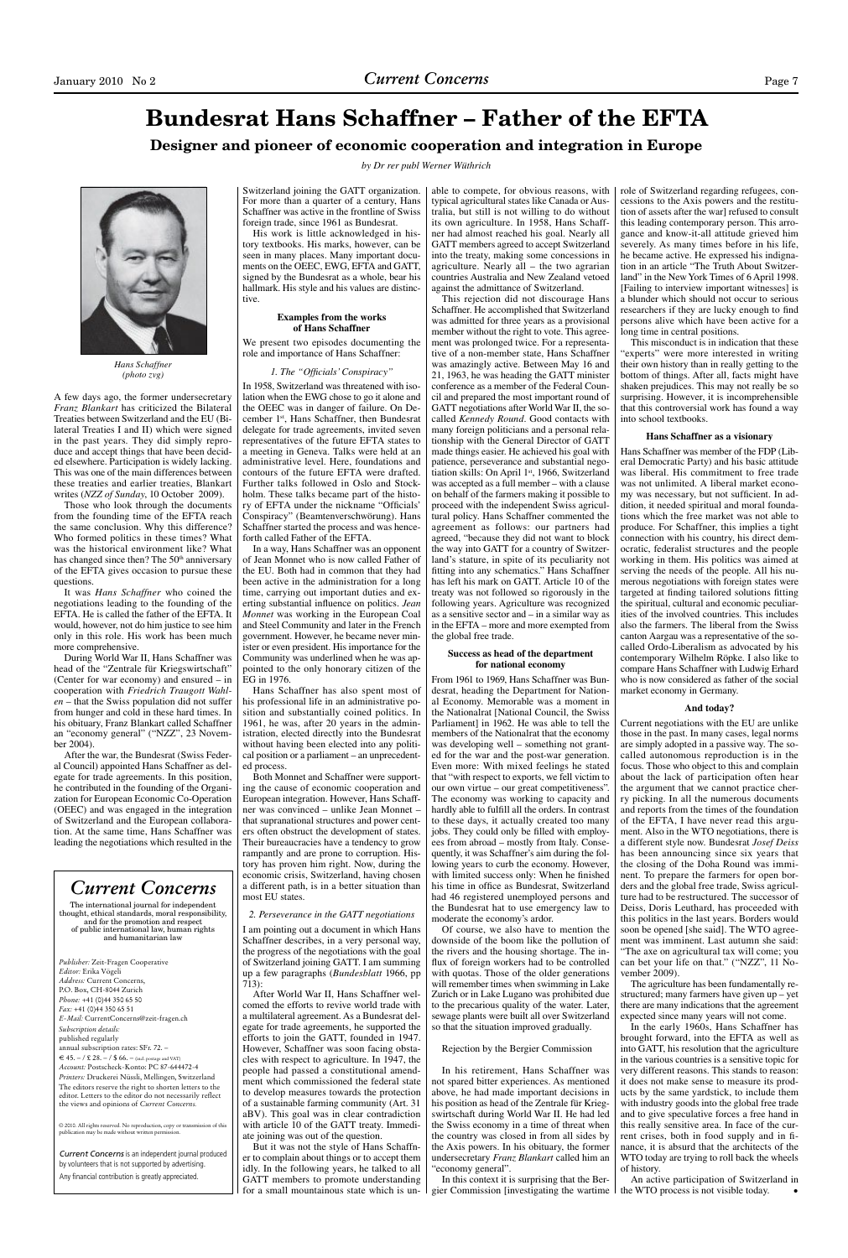### **Bundesrat Hans Schaffner – Father of the EFTA Designer and pioneer of economic cooperation and integration in Europe**

*by Dr rer publ Werner Wüthrich*

A few days ago, the former undersecretary *Franz Blankart* has criticized the Bilateral Treaties between Switzerland and the EU (Bilateral Treaties I and II) which were signed in the past years. They did simply reproduce and accept things that have been decided elsewhere. Participation is widely lacking. This was one of the main differences between these treaties and earlier treaties, Blankart writes (*NZZ of Sunday*, 10 October 2009).

Those who look through the documents from the founding time of the EFTA reach the same conclusion. Why this difference? Who formed politics in these times? What was the historical environment like? What has changed since then? The 50<sup>th</sup> anniversary of the EFTA gives occasion to pursue these questions.

It was *Hans Schaffner* who coined the negotiations leading to the founding of the EFTA. He is called the father of the EFTA. It would, however, not do him justice to see him only in this role. His work has been much more comprehensive.

During World War II, Hans Schaffner was head of the "Zentrale für Kriegswirtschaft" (Center for war economy) and ensured – in cooperation with *Friedrich Traugott Wahlen* – that the Swiss population did not suffer from hunger and cold in these hard times. In his obituary, Franz Blankart called Schaffner an "economy general" ("NZZ", 23 November 2004).

After the war, the Bundesrat (Swiss Federal Council) appointed Hans Schaffner as delegate for trade agreements. In this position, he contributed in the founding of the Organization for European Economic Co-Operation (OEEC) and was engaged in the integration

of Switzerland and the European collaboration. At the same time, Hans Schaffner was leading the negotiations which resulted in the Switzerland joining the GATT organization. For more than a quarter of a century, Hans Schaffner was active in the frontline of Swiss foreign trade, since 1961 as Bundesrat.

His work is little acknowledged in history textbooks. His marks, however, can be seen in many places. Many important documents on the OEEC, EWG, EFTA and GATT, signed by the Bundesrat as a whole, bear his hallmark. His style and his values are distinctive.

#### **Examples from the works of Hans Schaffner**

We present two episodes documenting the role and importance of Hans Schaffner:

#### *1. The "Officials' Conspiracy"*

In 1958, Switzerland was threatened with isolation when the EWG chose to go it alone and the OEEC was in danger of failure. On December 1st, Hans Schaffner, then Bundesrat delegate for trade agreements, invited seven representatives of the future EFTA states to a meeting in Geneva. Talks were held at an administrative level. Here, foundations and contours of the future EFTA were drafted. Further talks followed in Oslo and Stockholm. These talks became part of the history of EFTA under the nickname "Officials' Conspiracy" (Beamtenverschwörung). Hans Schaffner started the process and was henceforth called Father of the EFTA.

In a way, Hans Schaffner was an opponent of Jean Monnet who is now called Father of the EU. Both had in common that they had been active in the administration for a long time, carrying out important duties and exerting substantial influence on politics. *Jean Monnet* was working in the European Coal and Steel Community and later in the French government. However, he became never minister or even president. His importance for the Community was underlined when he was appointed to the only honorary citizen of the EG in 1976.

Hans Schaffner has also spent most of his professional life in an administrative position and substantially coined politics. In 1961, he was, after 20 years in the administration, elected directly into the Bundesrat without having been elected into any political position or a parliament – an unprecedented process.

Both Monnet and Schaffner were supporting the cause of economic cooperation and European integration. However, Hans Schaffner was convinced – unlike Jean Monnet – that supranational structures and power centers often obstruct the development of states. Their bureaucracies have a tendency to grow rampantly and are prone to corruption. History has proven him right. Now, during the economic crisis, Switzerland, having chosen a different path, is in a better situation than most EU states.

### *2. Perseverance in the GATT negotiations*

I am pointing out a document in which Hans Schaffner describes, in a very personal way, the progress of the negotiations with the goal of Switzerland joining GATT. I am summing up a few paragraphs (*Bundesblatt* 1966, pp 713):

After World War II, Hans Schaffner welcomed the efforts to revive world trade with a multilateral agreement. As a Bundesrat delegate for trade agreements, he supported the efforts to join the GATT, founded in 1947. However, Schaffner was soon facing obstacles with respect to agriculture. In 1947, the people had passed a constitutional amendment which commissioned the federal state to develop measures towards the protection of a sustainable farming community (Art. 31 aBV). This goal was in clear contradiction with article 10 of the GATT treaty. Immediate joining was out of the question.

But it was not the style of Hans Schaffner to complain about things or to accept them idly. In the following years, he talked to all GATT members to promote understanding for a small mountainous state which is un-

able to compete, for obvious reasons, with typical agricultural states like Canada or Australia, but still is not willing to do without its own agriculture. In 1958, Hans Schaffner had almost reached his goal. Nearly all GATT members agreed to accept Switzerland into the treaty, making some concessions in agriculture. Nearly all – the two agrarian countries Australia and New Zealand vetoed against the admittance of Switzerland.

This rejection did not discourage Hans Schaffner. He accomplished that Switzerland was admitted for three years as a provisional member without the right to vote. This agreement was prolonged twice. For a representative of a non-member state, Hans Schaffner was amazingly active. Between May 16 and 21, 1963, he was heading the GATT minister conference as a member of the Federal Council and prepared the most important round of GATT negotiations after World War II, the socalled *Kennedy Round*. Good contacts with many foreign politicians and a personal relationship with the General Director of GATT made things easier. He achieved his goal with patience, perseverance and substantial negotiation skills: On April 1<sup>st</sup>, 1966, Switzerland was accepted as a full member – with a clause on behalf of the farmers making it possible to proceed with the independent Swiss agricultural policy. Hans Schaffner commented the agreement as follows: our partners had agreed, "because they did not want to block the way into GATT for a country of Switzerland's stature, in spite of its peculiarity not fitting into any schematics." Hans Schaffner has left his mark on GATT. Article 10 of the treaty was not followed so rigorously in the following years. Agriculture was recognized as a sensitive sector and – in a similar way as in the EFTA – more and more exempted from the global free trade.

© 2010. All rights reserved. No reproduction, copy or transmission of this publication may be made without written perm

### **Success as head of the department for national economy**

From 1961 to 1969, Hans Schaffner was Bundesrat, heading the Department for National Economy. Memorable was a moment in the Nationalrat [National Council, the Swiss Parliament] in 1962. He was able to tell the members of the Nationalrat that the economy was developing well – something not granted for the war and the post-war generation. Even more: With mixed feelings he stated that "with respect to exports, we fell victim to our own virtue – our great competitiveness". The economy was working to capacity and hardly able to fulfill all the orders. In contrast to these days, it actually created too many jobs. They could only be filled with employees from abroad – mostly from Italy. Consequently, it was Schaffner's aim during the following years to curb the economy. However, with limited success only: When he finished his time in office as Bundesrat, Switzerland had 46 registered unemployed persons and the Bundesrat hat to use emergency law to moderate the economy's ardor. Of course, we also have to mention the downside of the boom like the pollution of the rivers and the housing shortage. The influx of foreign workers had to be controlled with quotas. Those of the older generations will remember times when swimming in Lake Zurich or in Lake Lugano was prohibited due to the precarious quality of the water. Later, sewage plants were built all over Switzerland so that the situation improved gradually.

### Rejection by the Bergier Commission

In his retirement, Hans Schaffner was not spared bitter experiences. As mentioned above, he had made important decisions in his position as head of the Zentrale für Kriegswirtschaft during World War II. He had led the Swiss economy in a time of threat when the country was closed in from all sides by the Axis powers. In his obituary, the former undersecretary *Franz Blankart* called him an "economy general".

In this context it is surprising that the Bergier Commission [investigating the wartime

role of Switzerland regarding refugees, concessions to the Axis powers and the restitution of assets after the war] refused to consult this leading contemporary person. This arrogance and know-it-all attitude grieved him severely. As many times before in his life, he became active. He expressed his indignation in an article "The Truth About Switzerland" in the New York Times of 6 April 1998. [Failing to interview important witnesses] is a blunder which should not occur to serious researchers if they are lucky enough to find persons alive which have been active for a long time in central positions.

This misconduct is in indication that these "experts" were more interested in writing their own history than in really getting to the bottom of things. After all, facts might have shaken prejudices. This may not really be so surprising. However, it is incomprehensible that this controversial work has found a way into school textbooks.

### **Hans Schaffner as a visionary**

Hans Schaffner was member of the FDP (Liberal Democratic Party) and his basic attitude was liberal. His commitment to free trade was not unlimited. A liberal market economy was necessary, but not sufficient. In addition, it needed spiritual and moral foundations which the free market was not able to produce. For Schaffner, this implies a tight connection with his country, his direct democratic, federalist structures and the people working in them. His politics was aimed at serving the needs of the people. All his numerous negotiations with foreign states were targeted at finding tailored solutions fitting the spiritual, cultural and economic peculiarities of the involved countries. This includes also the farmers. The liberal from the Swiss canton Aargau was a representative of the socalled Ordo-Liberalism as advocated by his contemporary Wilhelm Röpke. I also like to compare Hans Schaffner with Ludwig Erhard who is now considered as father of the social market economy in Germany.

#### **And today?**

Current negotiations with the EU are unlike those in the past. In many cases, legal norms are simply adopted in a passive way. The socalled autonomous reproduction is in the focus. Those who object to this and complain about the lack of participation often hear the argument that we cannot practice cherry picking. In all the numerous documents and reports from the times of the foundation of the EFTA, I have never read this argument. Also in the WTO negotiations, there is a different style now. Bundesrat *Josef Deiss* has been announcing since six years that the closing of the Doha Round was imminent. To prepare the farmers for open borders and the global free trade, Swiss agriculture had to be restructured. The successor of Deiss, Doris Leuthard, has proceeded with this politics in the last years. Borders would soon be opened [she said]. The WTO agreement was imminent. Last autumn she said: "The axe on agricultural tax will come; you can bet your life on that." ("NZZ", 11 November 2009). The agriculture has been fundamentally restructured; many farmers have given up – yet there are many indications that the agreement expected since many years will not come. In the early 1960s, Hans Schaffner has brought forward, into the EFTA as well as into GATT, his resolution that the agriculture in the various countries is a sensitive topic for very different reasons. This stands to reason: it does not make sense to measure its products by the same yardstick, to include them with industry goods into the global free trade and to give speculative forces a free hand in this really sensitive area. In face of the current crises, both in food supply and in finance, it is absurd that the architects of the WTO today are trying to roll back the wheels of history. An active participation of Switzerland in the WTO process is not visible today. •

*Current Concerns* is an independent journal produced by volunteers that is not supported by advertising. Any financial contribution is greatly appreciated.

### *Current Concerns*

The international journal for independent thought, ethical standards, moral responsibility, and for the promotion and respect of public international law, human rights and humanitarian law

*Publisher:* Zeit-Fragen Cooperative *Editor:* Erika Vögeli *Address:* Current Concerns, P.O. Box, CH-8044 Zurich *Phone:* +41 (0)44 350 65 50 *Fax:* +41 (0)44 350 65 51 *E-Mail:* CurrentConcerns@zeit-fragen.ch *Subscription details:*  published regularly annual subscription rates: SFr. 72. –  $\epsilon \leq 45$ . – /  $\epsilon$  28. – /  $\epsilon$  66. – (incl. postage and VAT) *Account:* Postscheck-Konto: PC 87-644472-4 *Printers:* Druckerei Nüssli, Mellingen, Switzerland The editors reserve the right to shorten letters to the editor. Letters to the editor do not necessarily reflect the views and opinions of *Current Concerns.*



*Hans Schaffner (photo zvg)*